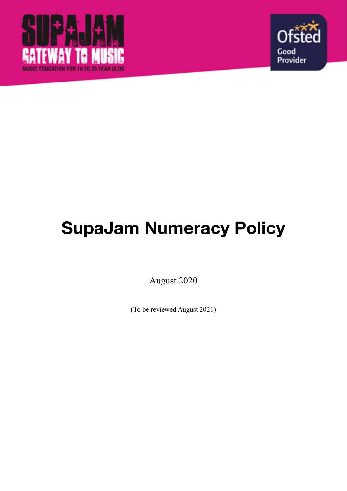



# **SupaJam Numeracy Policy**

August 2020

(To be reviewed August 2021)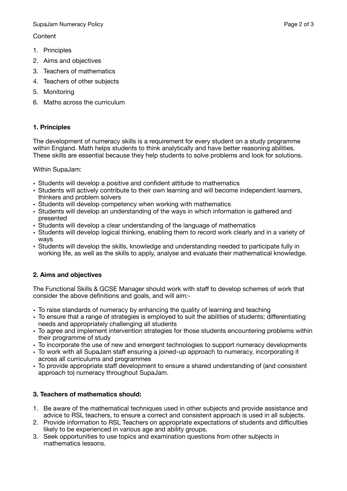SupaJam Numeracy Policy **Page 2 of 3** SupaJam Numeracy Policy **Page 2 of 3** 

**Content** 

- 1. Principles
- 2. Aims and objectives
- 3. Teachers of mathematics
- 4. Teachers of other subjects
- 5. Monitoring
- 6. Maths across the curriculum

## **1. Principles**

The development of numeracy skills is a requirement for every student on a study programme within England. Math helps students to think analytically and have better reasoning abilities. These skills are essential because they help students to solve problems and look for solutions.

Within SupaJam:

- Students will develop a positive and confident attitude to mathematics
- Students will actively contribute to their own learning and will become independent learners, thinkers and problem solvers
- Students will develop competency when working with mathematics
- Students will develop an understanding of the ways in which information is gathered and presented
- Students will develop a clear understanding of the language of mathematics
- Students will develop logical thinking, enabling them to record work clearly and in a variety of ways
- Students will develop the skills, knowledge and understanding needed to participate fully in working life, as well as the skills to apply, analyse and evaluate their mathematical knowledge.

## **2. Aims and objectives**

The Functional Skills & GCSE Manager should work with staff to develop schemes of work that consider the above definitions and goals, and will aim:-

- To raise standards of numeracy by enhancing the quality of learning and teaching
- To ensure that a range of strategies is employed to suit the abilities of students; differentiating needs and appropriately challenging all students
- To agree and implement intervention strategies for those students encountering problems within their programme of study
- To incorporate the use of new and emergent technologies to support numeracy developments
- To work with all SupaJam staff ensuring a joined-up approach to numeracy, incorporating it across all curriculums and programmes
- To provide appropriate staff development to ensure a shared understanding of (and consistent approach to) numeracy throughout SupaJam.

## **3. Teachers of mathematics should:**

- 1. Be aware of the mathematical techniques used in other subjects and provide assistance and advice to RSL teachers, to ensure a correct and consistent approach is used in all subjects.
- 2. Provide information to RSL Teachers on appropriate expectations of students and difficulties likely to be experienced in various age and ability groups.
- 3. Seek opportunities to use topics and examination questions from other subjects in mathematics lessons.